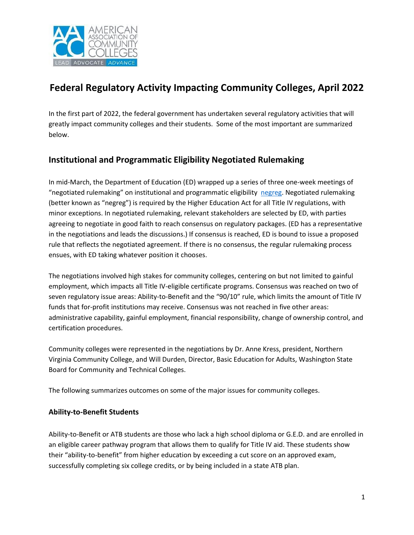

# **Federal Regulatory Activity Impacting Community Colleges, April 2022**

In the first part of 2022, the federal government has undertaken several regulatory activities that will greatly impact community colleges and their students. Some of the most important are summarized below.

# **Institutional and Programmatic Eligibility Negotiated Rulemaking**

In mid-March, the Department of Education (ED) wrapped up a series of three one-week meetings of "negotiated rulemaking" on institutional and programmatic eligibility [negreg.](https://www.federalregister.gov/documents/2021/12/08/2021-26571/negotiated-rulemaking-committee-negotiator-nominations-and-schedule-of-committee-meetings) Negotiated rulemaking (better known as "negreg") is required by the Higher Education Act for all Title IV regulations, with minor exceptions. In negotiated rulemaking, relevant stakeholders are selected by ED, with parties agreeing to negotiate in good faith to reach consensus on regulatory packages. (ED has a representative in the negotiations and leads the discussions.) If consensus is reached, ED is bound to issue a proposed rule that reflects the negotiated agreement. If there is no consensus, the regular rulemaking process ensues, with ED taking whatever position it chooses.

The negotiations involved high stakes for community colleges, centering on but not limited to gainful employment, which impacts all Title IV-eligible certificate programs. Consensus was reached on two of seven regulatory issue areas: Ability-to-Benefit and the "90/10" rule, which limits the amount of Title IV funds that for-profit institutions may receive. Consensus was not reached in five other areas: administrative capability, gainful employment, financial responsibility, change of ownership control, and certification procedures.

Community colleges were represented in the negotiations by Dr. Anne Kress, president, Northern Virginia Community College, and Will Durden, Director, Basic Education for Adults, Washington State Board for Community and Technical Colleges.

The following summarizes outcomes on some of the major issues for community colleges.

#### **Ability-to-Benefit Students**

Ability-to-Benefit or ATB students are those who lack a high school diploma or G.E.D. and are enrolled in an eligible career pathway program that allows them to qualify for Title IV aid. These students show their "ability-to-benefit" from higher education by exceeding a cut score on an approved exam, successfully completing six college credits, or by being included in a state ATB plan.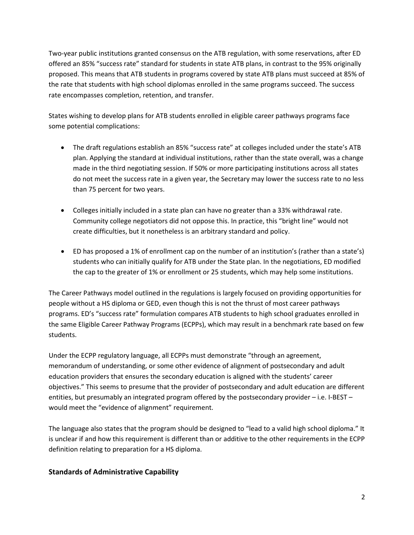Two-year public institutions granted consensus on the ATB regulation, with some reservations, after ED offered an 85% "success rate" standard for students in state ATB plans, in contrast to the 95% originally proposed. This means that ATB students in programs covered by state ATB plans must succeed at 85% of the rate that students with high school diplomas enrolled in the same programs succeed. The success rate encompasses completion, retention, and transfer.

States wishing to develop plans for ATB students enrolled in eligible career pathways programs face some potential complications:

- The draft regulations establish an 85% "success rate" at colleges included under the state's ATB plan. Applying the standard at individual institutions, rather than the state overall, was a change made in the third negotiating session. If 50% or more participating institutions across all states do not meet the success rate in a given year, the Secretary may lower the success rate to no less than 75 percent for two years.
- Colleges initially included in a state plan can have no greater than a 33% withdrawal rate. Community college negotiators did not oppose this. In practice, this "bright line" would not create difficulties, but it nonetheless is an arbitrary standard and policy.
- ED has proposed a 1% of enrollment cap on the number of an institution's (rather than a state's) students who can initially qualify for ATB under the State plan. In the negotiations, ED modified the cap to the greater of 1% or enrollment or 25 students, which may help some institutions.

The Career Pathways model outlined in the regulations is largely focused on providing opportunities for people without a HS diploma or GED, even though this is not the thrust of most career pathways programs. ED's "success rate" formulation compares ATB students to high school graduates enrolled in the same Eligible Career Pathway Programs (ECPPs), which may result in a benchmark rate based on few students.

Under the ECPP regulatory language, all ECPPs must demonstrate "through an agreement, memorandum of understanding, or some other evidence of alignment of postsecondary and adult education providers that ensures the secondary education is aligned with the students' career objectives." This seems to presume that the provider of postsecondary and adult education are different entities, but presumably an integrated program offered by the postsecondary provider – i.e. I-BEST – would meet the "evidence of alignment" requirement.

The language also states that the program should be designed to "lead to a valid high school diploma." It is unclear if and how this requirement is different than or additive to the other requirements in the ECPP definition relating to preparation for a HS diploma.

### **Standards of Administrative Capability**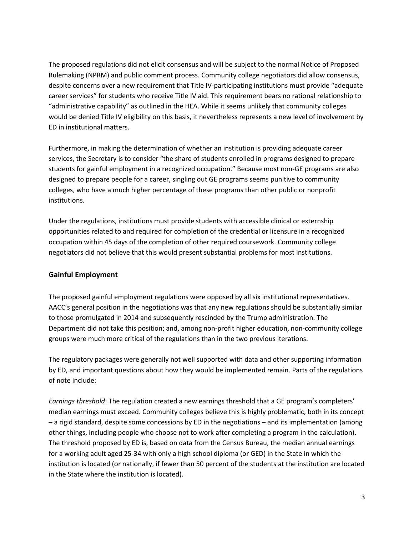The proposed regulations did not elicit consensus and will be subject to the normal Notice of Proposed Rulemaking (NPRM) and public comment process. Community college negotiators did allow consensus, despite concerns over a new requirement that Title IV-participating institutions must provide "adequate career services" for students who receive Title IV aid. This requirement bears no rational relationship to "administrative capability" as outlined in the HEA. While it seems unlikely that community colleges would be denied Title IV eligibility on this basis, it nevertheless represents a new level of involvement by ED in institutional matters.

Furthermore, in making the determination of whether an institution is providing adequate career services, the Secretary is to consider "the share of students enrolled in programs designed to prepare students for gainful employment in a recognized occupation." Because most non-GE programs are also designed to prepare people for a career, singling out GE programs seems punitive to community colleges, who have a much higher percentage of these programs than other public or nonprofit institutions.

Under the regulations, institutions must provide students with accessible clinical or externship opportunities related to and required for completion of the credential or licensure in a recognized occupation within 45 days of the completion of other required coursework. Community college negotiators did not believe that this would present substantial problems for most institutions.

#### **Gainful Employment**

The proposed gainful employment regulations were opposed by all six institutional representatives. AACC's general position in the negotiations was that any new regulations should be substantially similar to those promulgated in 2014 and subsequently rescinded by the Trump administration. The Department did not take this position; and, among non-profit higher education, non-community college groups were much more critical of the regulations than in the two previous iterations.

The regulatory packages were generally not well supported with data and other supporting information by ED, and important questions about how they would be implemented remain. Parts of the regulations of note include:

*Earnings threshold*: The regulation created a new earnings threshold that a GE program's completers' median earnings must exceed. Community colleges believe this is highly problematic, both in its concept – a rigid standard, despite some concessions by ED in the negotiations – and its implementation (among other things, including people who choose not to work after completing a program in the calculation). The threshold proposed by ED is, based on data from the Census Bureau, the median annual earnings for a working adult aged 25-34 with only a high school diploma (or GED) in the State in which the institution is located (or nationally, if fewer than 50 percent of the students at the institution are located in the State where the institution is located).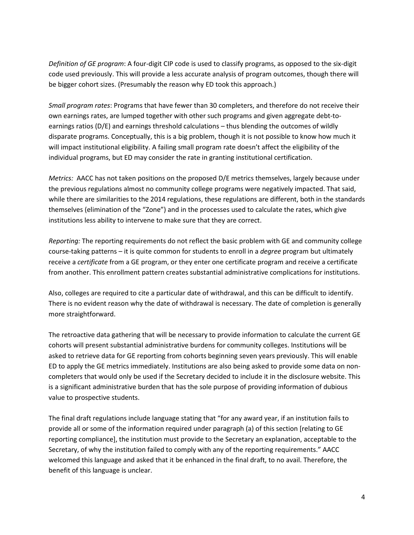*Definition of GE program*: A four-digit CIP code is used to classify programs, as opposed to the six-digit code used previously. This will provide a less accurate analysis of program outcomes, though there will be bigger cohort sizes. (Presumably the reason why ED took this approach.)

*Small program rates*: Programs that have fewer than 30 completers, and therefore do not receive their own earnings rates, are lumped together with other such programs and given aggregate debt-toearnings ratios (D/E) and earnings threshold calculations – thus blending the outcomes of wildly disparate programs. Conceptually, this is a big problem, though it is not possible to know how much it will impact institutional eligibility. A failing small program rate doesn't affect the eligibility of the individual programs, but ED may consider the rate in granting institutional certification.

*Metrics:* AACC has not taken positions on the proposed D/E metrics themselves, largely because under the previous regulations almost no community college programs were negatively impacted. That said, while there are similarities to the 2014 regulations, these regulations are different, both in the standards themselves (elimination of the "Zone") and in the processes used to calculate the rates, which give institutions less ability to intervene to make sure that they are correct.

*Reporting:* The reporting requirements do not reflect the basic problem with GE and community college course-taking patterns – it is quite common for students to enroll in a *degree* program but ultimately receive a *certificate* from a GE program, or they enter one certificate program and receive a certificate from another. This enrollment pattern creates substantial administrative complications for institutions.

Also, colleges are required to cite a particular date of withdrawal, and this can be difficult to identify. There is no evident reason why the date of withdrawal is necessary. The date of completion is generally more straightforward.

The retroactive data gathering that will be necessary to provide information to calculate the current GE cohorts will present substantial administrative burdens for community colleges. Institutions will be asked to retrieve data for GE reporting from cohorts beginning seven years previously. This will enable ED to apply the GE metrics immediately. Institutions are also being asked to provide some data on noncompleters that would only be used if the Secretary decided to include it in the disclosure website. This is a significant administrative burden that has the sole purpose of providing information of dubious value to prospective students.

The final draft regulations include language stating that "for any award year, if an institution fails to provide all or some of the information required under paragraph (a) of this section [relating to GE reporting compliance], the institution must provide to the Secretary an explanation, acceptable to the Secretary, of why the institution failed to comply with any of the reporting requirements." AACC welcomed this language and asked that it be enhanced in the final draft, to no avail. Therefore, the benefit of this language is unclear.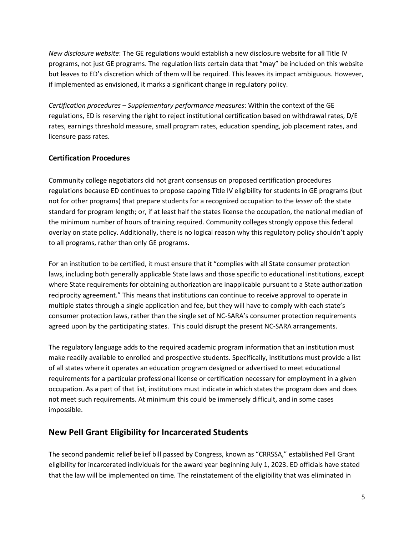*New disclosure website*: The GE regulations would establish a new disclosure website for all Title IV programs, not just GE programs. The regulation lists certain data that "may" be included on this website but leaves to ED's discretion which of them will be required. This leaves its impact ambiguous. However, if implemented as envisioned, it marks a significant change in regulatory policy.

*Certification procedures – Supplementary performance measures*: Within the context of the GE regulations, ED is reserving the right to reject institutional certification based on withdrawal rates, D/E rates, earnings threshold measure, small program rates, education spending, job placement rates, and licensure pass rates.

### **Certification Procedures**

Community college negotiators did not grant consensus on proposed certification procedures regulations because ED continues to propose capping Title IV eligibility for students in GE programs (but not for other programs) that prepare students for a recognized occupation to the *lesser* of: the state standard for program length; or, if at least half the states license the occupation, the national median of the minimum number of hours of training required. Community colleges strongly oppose this federal overlay on state policy. Additionally, there is no logical reason why this regulatory policy shouldn't apply to all programs, rather than only GE programs.

For an institution to be certified, it must ensure that it "complies with all State consumer protection laws, including both generally applicable State laws and those specific to educational institutions, except where State requirements for obtaining authorization are inapplicable pursuant to a State authorization reciprocity agreement." This means that institutions can continue to receive approval to operate in multiple states through a single application and fee, but they will have to comply with each state's consumer protection laws, rather than the single set of NC-SARA's consumer protection requirements agreed upon by the participating states. This could disrupt the present NC-SARA arrangements.

The regulatory language adds to the required academic program information that an institution must make readily available to enrolled and prospective students. Specifically, institutions must provide a list of all states where it operates an education program designed or advertised to meet educational requirements for a particular professional license or certification necessary for employment in a given occupation. As a part of that list, institutions must indicate in which states the program does and does not meet such requirements. At minimum this could be immensely difficult, and in some cases impossible.

# **New Pell Grant Eligibility for Incarcerated Students**

The second pandemic relief belief bill passed by Congress, known as "CRRSSA," established Pell Grant eligibility for incarcerated individuals for the award year beginning July 1, 2023. ED officials have stated that the law will be implemented on time. The reinstatement of the eligibility that was eliminated in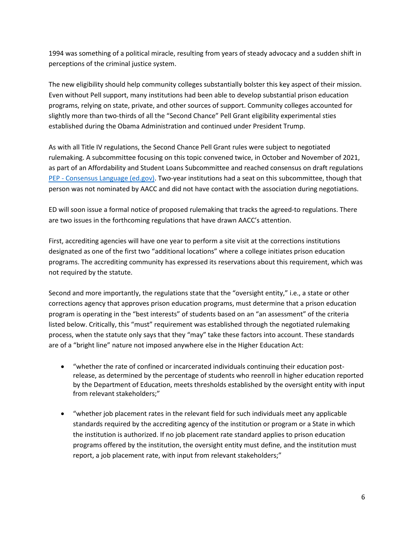1994 was something of a political miracle, resulting from years of steady advocacy and a sudden shift in perceptions of the criminal justice system.

The new eligibility should help community colleges substantially bolster this key aspect of their mission. Even without Pell support, many institutions had been able to develop substantial prison education programs, relying on state, private, and other sources of support. Community colleges accounted for slightly more than two-thirds of all the "Second Chance" Pell Grant eligibility experimental sties established during the Obama Administration and continued under President Trump.

As with all Title IV regulations, the Second Chance Pell Grant rules were subject to negotiated rulemaking. A subcommittee focusing on this topic convened twice, in October and November of 2021, as part of an Affordability and Student Loans Subcommittee and reached consensus on draft regulations PEP - [Consensus Language \(ed.gov\).](https://www2.ed.gov/policy/highered/reg/hearulemaking/2021/concenlang.pdf) Two-year institutions had a seat on this subcommittee, though that person was not nominated by AACC and did not have contact with the association during negotiations.

ED will soon issue a formal notice of proposed rulemaking that tracks the agreed-to regulations. There are two issues in the forthcoming regulations that have drawn AACC's attention.

First, accrediting agencies will have one year to perform a site visit at the corrections institutions designated as one of the first two "additional locations" where a college initiates prison education programs. The accrediting community has expressed its reservations about this requirement, which was not required by the statute.

Second and more importantly, the regulations state that the "oversight entity," i.e., a state or other corrections agency that approves prison education programs, must determine that a prison education program is operating in the "best interests" of students based on an "an assessment" of the criteria listed below. Critically, this "must" requirement was established through the negotiated rulemaking process, when the statute only says that they "may" take these factors into account. These standards are of a "bright line" nature not imposed anywhere else in the Higher Education Act:

- "whether the rate of confined or incarcerated individuals continuing their education postrelease, as determined by the percentage of students who reenroll in higher education reported by the Department of Education, meets thresholds established by the oversight entity with input from relevant stakeholders;"
- "whether job placement rates in the relevant field for such individuals meet any applicable standards required by the accrediting agency of the institution or program or a State in which the institution is authorized. If no job placement rate standard applies to prison education programs offered by the institution, the oversight entity must define, and the institution must report, a job placement rate, with input from relevant stakeholders;"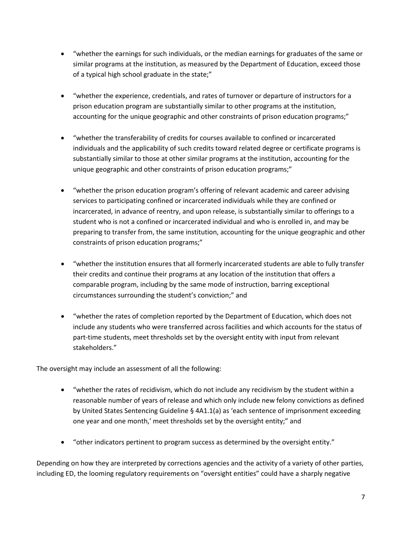- "whether the earnings for such individuals, or the median earnings for graduates of the same or similar programs at the institution, as measured by the Department of Education, exceed those of a typical high school graduate in the state;"
- "whether the experience, credentials, and rates of turnover or departure of instructors for a prison education program are substantially similar to other programs at the institution, accounting for the unique geographic and other constraints of prison education programs;"
- "whether the transferability of credits for courses available to confined or incarcerated individuals and the applicability of such credits toward related degree or certificate programs is substantially similar to those at other similar programs at the institution, accounting for the unique geographic and other constraints of prison education programs;"
- "whether the prison education program's offering of relevant academic and career advising services to participating confined or incarcerated individuals while they are confined or incarcerated, in advance of reentry, and upon release, is substantially similar to offerings to a student who is not a confined or incarcerated individual and who is enrolled in, and may be preparing to transfer from, the same institution, accounting for the unique geographic and other constraints of prison education programs;"
- "whether the institution ensures that all formerly incarcerated students are able to fully transfer their credits and continue their programs at any location of the institution that offers a comparable program, including by the same mode of instruction, barring exceptional circumstances surrounding the student's conviction;" and
- "whether the rates of completion reported by the Department of Education, which does not include any students who were transferred across facilities and which accounts for the status of part-time students, meet thresholds set by the oversight entity with input from relevant stakeholders."

The oversight may include an assessment of all the following:

- "whether the rates of recidivism, which do not include any recidivism by the student within a reasonable number of years of release and which only include new felony convictions as defined by United States Sentencing Guideline § 4A1.1(a) as 'each sentence of imprisonment exceeding one year and one month,' meet thresholds set by the oversight entity;" and
- "other indicators pertinent to program success as determined by the oversight entity."

Depending on how they are interpreted by corrections agencies and the activity of a variety of other parties, including ED, the looming regulatory requirements on "oversight entities" could have a sharply negative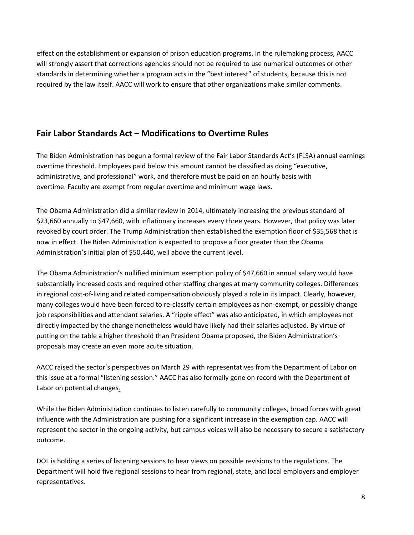effect on the establishment or expansion of prison education programs. In the rulemaking process, AACC will strongly assert that corrections agencies should not be required to use numerical outcomes or other standards in determining whether a program acts in the "best interest" of students, because this is not required by the law itself. AACC will work to ensure that other organizations make similar comments.

# **Fair Labor Standards Act – Modifications to Overtime Rules**

The Biden Administration has begun a formal review of the Fair Labor Standards Act's (FLSA) annual earnings overtime threshold. Employees paid below this amount cannot be classified as doing "executive, administrative, and professional" work, and therefore must be paid on an hourly basis with overtime. Faculty are exempt from regular overtime and minimum wage laws.

The Obama Administration did a similar review in 2014, ultimately increasing the previous standard of \$23,660 annually to \$47,660, with inflationary increases every three years. However, that policy was later revoked by court order. The Trump Administration then established the exemption floor of \$35,568 that is now in effect. The Biden Administration is expected to propose a floor greater than the Obama Administration's initial plan of \$50,440, well above the current level.

The Obama Administration's nullified minimum exemption policy of \$47,660 in annual salary would have substantially increased costs and required other staffing changes at many community colleges. Differences in regional cost-of-living and related compensation obviously played a role in its impact. Clearly, however, many colleges would have been forced to re-classify certain employees as non-exempt, or possibly change job responsibilities and attendant salaries. A "ripple effect" was also anticipated, in which employees not directly impacted by the change nonetheless would have likely had their salaries adjusted. By virtue of putting on the table a higher threshold than President Obama proposed, the Biden Administration's proposals may create an even more acute situation.

AACC raised the sector's perspectives on March 29 with representatives from the Department of Labor on this issue at a formal "listening session." AACC has also formally gone on record with the Department of Labor on potential changes.

While the Biden Administration continues to listen carefully to community colleges, broad forces with great influence with the Administration are pushing for a significant increase in the exemption cap. AACC will represent the sector in the ongoing activity, but campus voices will also be necessary to secure a satisfactory outcome.

DOL is holding a series of listening sessions to hear views on possible revisions to the regulations. The Department will hold five regional sessions to hear from regional, state, and local employers and employer representatives.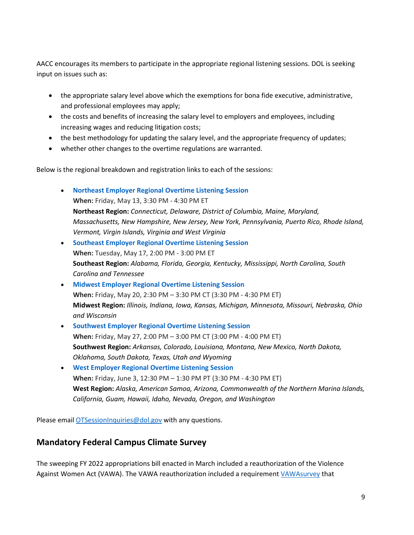AACC encourages its members to participate in the appropriate regional listening sessions. DOL is seeking input on issues such as:

- the appropriate salary level above which the exemptions for bona fide executive, administrative, and professional employees may apply;
- the costs and benefits of increasing the salary level to employers and employees, including increasing wages and reducing litigation costs;
- the best methodology for updating the salary level, and the appropriate frequency of updates;
- whether other changes to the overtime regulations are warranted.

Below is the regional breakdown and registration links to each of the sessions:

- **Northeast [Employer Regional Overtime Listening Session](https://gcc02.safelinks.protection.outlook.com/?url=https%3A%2F%2Fwww.eventbrite.com%2Fe%2Fovertime-listening-session-northeast-employers-registration-309911943967&data=04%7C01%7COnwubiko.Udochi%40dol.gov%7Ca9688b91b4ab428c254a08da1736ec08%7C75a6305472044e0c9126adab971d4aca%7C0%7C0%7C637847821906983732%7CUnknown%7CTWFpbGZsb3d8eyJWIjoiMC4wLjAwMDAiLCJQIjoiV2luMzIiLCJBTiI6Ik1haWwiLCJXVCI6Mn0%3D%7C3000&sdata=doco8tzY4gwFTQkEEI%2Fk%2FztGA7VAxR98hxu4d%2BJKqkI%3D&reserved=0) When:** Friday, May 13, 3:30 PM - 4:30 PM ET **Northeast Region:** *Connecticut, Delaware, District of Columbia, Maine, Maryland, Massachusetts, New Hampshire, New Jersey, New York, Pennsylvania, Puerto Rico, Rhode Island, Vermont, Virgin Islands, Virginia and West Virginia*
- **[Southeast Employer Regional Overtime Listening Session](https://gcc02.safelinks.protection.outlook.com/?url=https%3A%2F%2Fwww.eventbrite.com%2Fe%2Fovertime-listening-session-southeast-employers-registration-313358974127&data=04%7C01%7COnwubiko.Udochi%40dol.gov%7Ca9688b91b4ab428c254a08da1736ec08%7C75a6305472044e0c9126adab971d4aca%7C0%7C0%7C637847821906983732%7CUnknown%7CTWFpbGZsb3d8eyJWIjoiMC4wLjAwMDAiLCJQIjoiV2luMzIiLCJBTiI6Ik1haWwiLCJXVCI6Mn0%3D%7C3000&sdata=8yNi5V%2BMrFYHTgpZL5H%2FEvO1SdC9j2zfv3s4jJv11Yg%3D&reserved=0) When:** Tuesday, May 17, 2:00 PM - 3:00 PM ET **Southeast Region:** *Alabama, Florida, Georgia, Kentucky, Mississippi, North Carolina, South Carolina and Tennessee*
- **Midwest [Employer Regional Overtime Listening Session](https://gcc02.safelinks.protection.outlook.com/?url=https%3A%2F%2Fwww.eventbrite.com%2Fe%2Fovertime-listening-session-midwest-employers-registration-313684919037&data=04%7C01%7COnwubiko.Udochi%40dol.gov%7Ca9688b91b4ab428c254a08da1736ec08%7C75a6305472044e0c9126adab971d4aca%7C0%7C0%7C637847821906983732%7CUnknown%7CTWFpbGZsb3d8eyJWIjoiMC4wLjAwMDAiLCJQIjoiV2luMzIiLCJBTiI6Ik1haWwiLCJXVCI6Mn0%3D%7C3000&sdata=Nh19X5cS2lZLRZ%2BaKFopmksv9dw5aWj%2BNHA95CDeQVQ%3D&reserved=0) When:** Friday, May 20, 2:30 PM – 3:30 PM CT (3:30 PM - 4:30 PM ET) **Midwest Region:** *Illinois, Indiana, Iowa, Kansas, Michigan, Minnesota, Missouri, Nebraska, Ohio and Wisconsin*
- **Southwest [Employer Regional Overtime Listening Session](https://gcc02.safelinks.protection.outlook.com/?url=https%3A%2F%2Fwww.eventbrite.com%2Fe%2Fovertime-listening-session-southwest-employers-registration-313685400477&data=04%7C01%7COnwubiko.Udochi%40dol.gov%7Ca9688b91b4ab428c254a08da1736ec08%7C75a6305472044e0c9126adab971d4aca%7C0%7C0%7C637847821906983732%7CUnknown%7CTWFpbGZsb3d8eyJWIjoiMC4wLjAwMDAiLCJQIjoiV2luMzIiLCJBTiI6Ik1haWwiLCJXVCI6Mn0%3D%7C3000&sdata=seQ2%2BQKveH%2BwGIWqEuWhioueXGqN9PkzB%2BfL91OhOiA%3D&reserved=0) When:** Friday, May 27, 2:00 PM – 3:00 PM CT (3:00 PM - 4:00 PM ET) **Southwest Region:** *Arkansas, Colorado, Louisiana, Montana, New Mexico, North Dakota, Oklahoma, South Dakota, Texas, Utah and Wyoming*
- **West [Employer Regional Overtime Listening Session](https://gcc02.safelinks.protection.outlook.com/?url=https%3A%2F%2Fwww.eventbrite.com%2Fe%2Fovertime-listening-session-west-employers-registration-313685962157&data=04%7C01%7COnwubiko.Udochi%40dol.gov%7Ca9688b91b4ab428c254a08da1736ec08%7C75a6305472044e0c9126adab971d4aca%7C0%7C0%7C637847821906983732%7CUnknown%7CTWFpbGZsb3d8eyJWIjoiMC4wLjAwMDAiLCJQIjoiV2luMzIiLCJBTiI6Ik1haWwiLCJXVCI6Mn0%3D%7C3000&sdata=%2FB%2F9f9%2BfZ4dfw04tfElo81aIaHEqDtdzosB6ISKmCZc%3D&reserved=0) When:** Friday, June 3, 12:30 PM – 1:30 PM PT (3:30 PM - 4:30 PM ET) **West Region:** *Alaska, American Samoa, Arizona, Commonwealth of the Northern Marina Islands, California, Guam, Hawaii, Idaho, Nevada, Oregon, and Washington*

Please email [OTSessionInquiries@dol.gov](mailto:OTSessionInquiries@dol.gov) with any questions.

### **Mandatory Federal Campus Climate Survey**

The sweeping FY 2022 appropriations bill enacted in March included a reauthorization of the Violence Against Women Act (VAWA). The VAWA reauthorization included a requirement [VAWAsurvey](https://www.congress.gov/bill/117th-congress/senate-bill/3623/text#toc-id11667FB8DD10477DBFC55689D32B072A) that